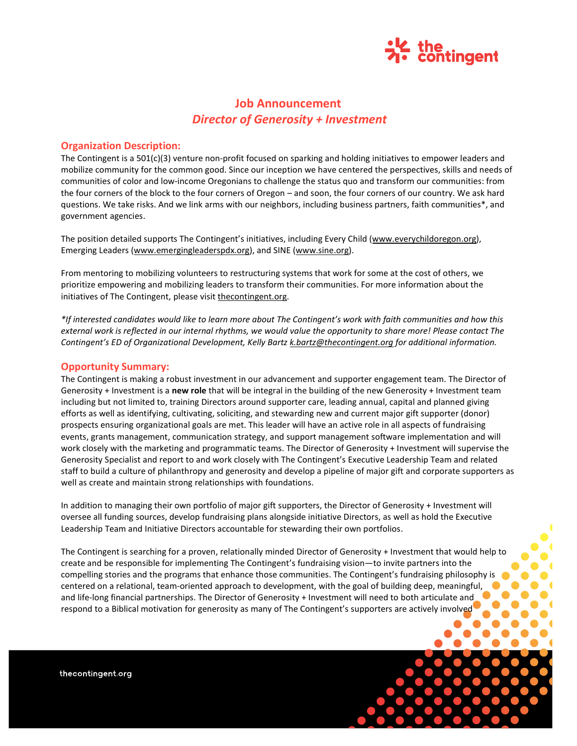

# Job Announcement Director of Generosity + Investment

#### Organization Description:

The Contingent is a 501(c)(3) venture non-profit focused on sparking and holding initiatives to empower leaders and mobilize community for the common good. Since our inception we have centered the perspectives, skills and needs of communities of color and low-income Oregonians to challenge the status quo and transform our communities: from the four corners of the block to the four corners of Oregon – and soon, the four corners of our country. We ask hard questions. We take risks. And we link arms with our neighbors, including business partners, faith communities\*, and government agencies.

The position detailed supports The Contingent's initiatives, including Every Child (www.everychildoregon.org), Emerging Leaders (www.emergingleaderspdx.org), and SINE (www.sine.org).

From mentoring to mobilizing volunteers to restructuring systems that work for some at the cost of others, we prioritize empowering and mobilizing leaders to transform their communities. For more information about the initiatives of The Contingent, please visit thecontingent.org.

\*If interested candidates would like to learn more about The Contingent's work with faith communities and how this external work is reflected in our internal rhythms, we would value the opportunity to share more! Please contact The Contingent's ED of Organizational Development, Kelly Bartz k.bartz@thecontingent.org for additional information.

# Opportunity Summary:

The Contingent is making a robust investment in our advancement and supporter engagement team. The Director of Generosity + Investment is a new role that will be integral in the building of the new Generosity + Investment team including but not limited to, training Directors around supporter care, leading annual, capital and planned giving efforts as well as identifying, cultivating, soliciting, and stewarding new and current major gift supporter (donor) prospects ensuring organizational goals are met. This leader will have an active role in all aspects of fundraising events, grants management, communication strategy, and support management software implementation and will work closely with the marketing and programmatic teams. The Director of Generosity + Investment will supervise the Generosity Specialist and report to and work closely with The Contingent's Executive Leadership Team and related staff to build a culture of philanthropy and generosity and develop a pipeline of major gift and corporate supporters as well as create and maintain strong relationships with foundations.

In addition to managing their own portfolio of major gift supporters, the Director of Generosity + Investment will oversee all funding sources, develop fundraising plans alongside initiative Directors, as well as hold the Executive Leadership Team and Initiative Directors accountable for stewarding their own portfolios.

The Contingent is searching for a proven, relationally minded Director of Generosity + Investment that would help to create and be responsible for implementing The Contingent's fundraising vision—to invite partners into the compelling stories and the programs that enhance those communities. The Contingent's fundraising philosophy is centered on a relational, team-oriented approach to development, with the goal of building deep, meaningful, and life-long financial partnerships. The Director of Generosity + Investment will need to both articulate and respond to a Biblical motivation for generosity as many of The Contingent's supporters are actively involved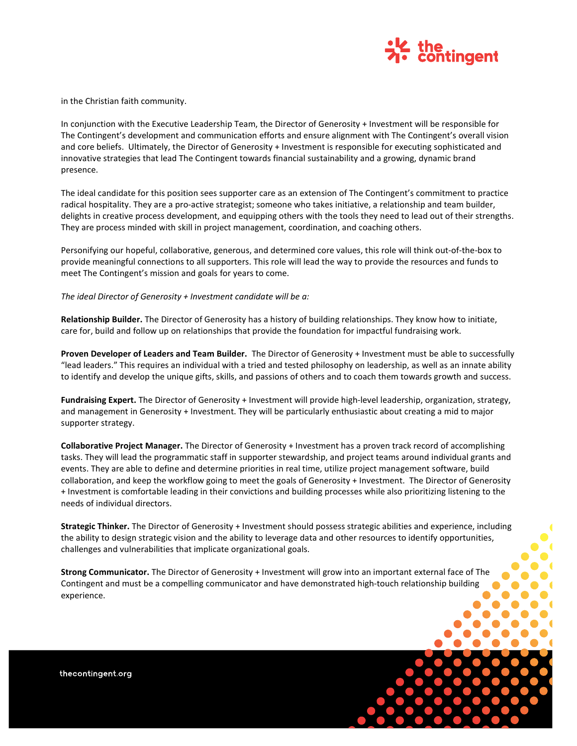

in the Christian faith community.

In conjunction with the Executive Leadership Team, the Director of Generosity + Investment will be responsible for The Contingent's development and communication efforts and ensure alignment with The Contingent's overall vision and core beliefs. Ultimately, the Director of Generosity + Investment is responsible for executing sophisticated and innovative strategies that lead The Contingent towards financial sustainability and a growing, dynamic brand presence.

The ideal candidate for this position sees supporter care as an extension of The Contingent's commitment to practice radical hospitality. They are a pro-active strategist; someone who takes initiative, a relationship and team builder, delights in creative process development, and equipping others with the tools they need to lead out of their strengths. They are process minded with skill in project management, coordination, and coaching others.

Personifying our hopeful, collaborative, generous, and determined core values, this role will think out-of-the-box to provide meaningful connections to all supporters. This role will lead the way to provide the resources and funds to meet The Contingent's mission and goals for years to come.

#### The ideal Director of Generosity + Investment candidate will be a:

Relationship Builder. The Director of Generosity has a history of building relationships. They know how to initiate, care for, build and follow up on relationships that provide the foundation for impactful fundraising work.

Proven Developer of Leaders and Team Builder. The Director of Generosity + Investment must be able to successfully "lead leaders." This requires an individual with a tried and tested philosophy on leadership, as well as an innate ability to identify and develop the unique gifts, skills, and passions of others and to coach them towards growth and success.

Fundraising Expert. The Director of Generosity + Investment will provide high-level leadership, organization, strategy, and management in Generosity + Investment. They will be particularly enthusiastic about creating a mid to major supporter strategy.

Collaborative Project Manager. The Director of Generosity + Investment has a proven track record of accomplishing tasks. They will lead the programmatic staff in supporter stewardship, and project teams around individual grants and events. They are able to define and determine priorities in real time, utilize project management software, build collaboration, and keep the workflow going to meet the goals of Generosity + Investment. The Director of Generosity + Investment is comfortable leading in their convictions and building processes while also prioritizing listening to the needs of individual directors.

Strategic Thinker. The Director of Generosity + Investment should possess strategic abilities and experience, including the ability to design strategic vision and the ability to leverage data and other resources to identify opportunities, challenges and vulnerabilities that implicate organizational goals.

Strong Communicator. The Director of Generosity + Investment will grow into an important external face of The Contingent and must be a compelling communicator and have demonstrated high-touch relationship building experience.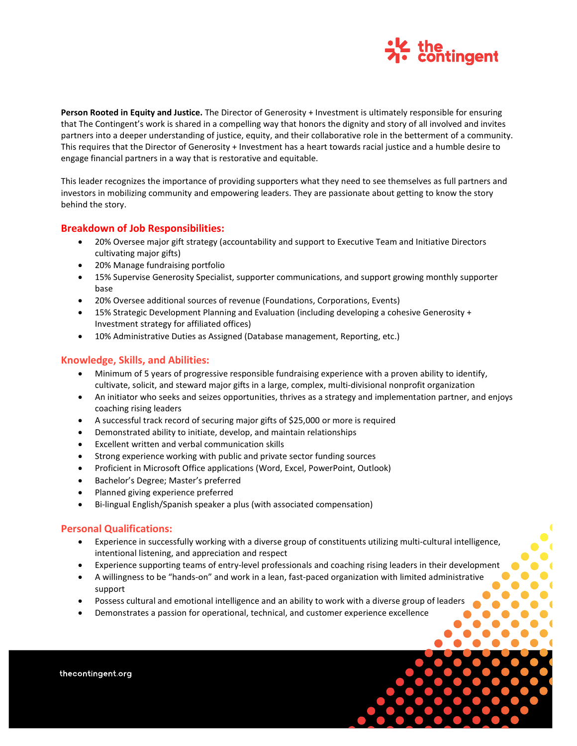

Person Rooted in Equity and Justice. The Director of Generosity + Investment is ultimately responsible for ensuring that The Contingent's work is shared in a compelling way that honors the dignity and story of all involved and invites partners into a deeper understanding of justice, equity, and their collaborative role in the betterment of a community. This requires that the Director of Generosity + Investment has a heart towards racial justice and a humble desire to engage financial partners in a way that is restorative and equitable.

This leader recognizes the importance of providing supporters what they need to see themselves as full partners and investors in mobilizing community and empowering leaders. They are passionate about getting to know the story behind the story.

# Breakdown of Job Responsibilities:

- 20% Oversee major gift strategy (accountability and support to Executive Team and Initiative Directors cultivating major gifts)
- 20% Manage fundraising portfolio
- 15% Supervise Generosity Specialist, supporter communications, and support growing monthly supporter base
- 20% Oversee additional sources of revenue (Foundations, Corporations, Events)
- 15% Strategic Development Planning and Evaluation (including developing a cohesive Generosity + Investment strategy for affiliated offices)
- 10% Administrative Duties as Assigned (Database management, Reporting, etc.)

# Knowledge, Skills, and Abilities:

- Minimum of 5 years of progressive responsible fundraising experience with a proven ability to identify, cultivate, solicit, and steward major gifts in a large, complex, multi-divisional nonprofit organization
- An initiator who seeks and seizes opportunities, thrives as a strategy and implementation partner, and enjoys coaching rising leaders
- A successful track record of securing major gifts of \$25,000 or more is required
- Demonstrated ability to initiate, develop, and maintain relationships
- Excellent written and verbal communication skills
- Strong experience working with public and private sector funding sources
- Proficient in Microsoft Office applications (Word, Excel, PowerPoint, Outlook)
- Bachelor's Degree; Master's preferred
- Planned giving experience preferred
- Bi-lingual English/Spanish speaker a plus (with associated compensation)

#### Personal Qualifications:

- Experience in successfully working with a diverse group of constituents utilizing multi-cultural intelligence, intentional listening, and appreciation and respect
- Experience supporting teams of entry-level professionals and coaching rising leaders in their development
- A willingness to be "hands-on" and work in a lean, fast-paced organization with limited administrative support
- Possess cultural and emotional intelligence and an ability to work with a diverse group of leaders
- Demonstrates a passion for operational, technical, and customer experience excellence